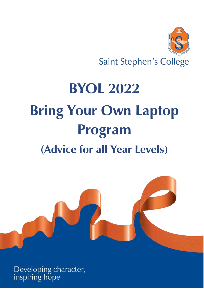

**Saint Stephen's College** 

# **BYOL 2022 Bring Your Own Laptop Program (Advice for all Year Levels)**



Developing character,<br>inspiring hope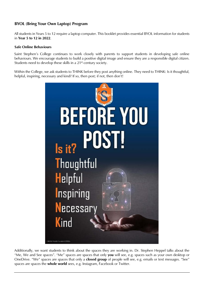# **BYOL (Bring Your Own Laptop) Program**

All students in Years 5 to 12 require a laptop computer. This booklet provides essential BYOL information for students in **Year 5 to 12 in 2022**.

#### **Safe Online Behaviours**

Saint Stephen's College continues to work closely with parents to support students in developing safe online behaviours. We encourage students to build a positive digital image and ensure they are a responsible digital citizen. Students need to develop these skills in a 21<sup>st</sup>-century society.

Within the College, we ask students to THINK before they post anything online. They need to THINK: Is it thoughtful, helpful, inspiring, necessary and kind? If so, then post; if not, then don't!



Additionally, we want students to think about the spaces they are working in. Dr. Stephen Heppel talks about the "Me, We and See spaces". "Me" spaces are spaces that only **you** will see, e.g. spaces such as your own desktop or OneDrive. "We" spaces are spaces that only a **closed group** of people will see, e.g. emails or text messages. "See" spaces are spaces the **whole world** sees, e.g. Instagram, Facebook or Twitter.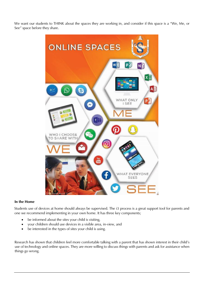We want our students to THINK about the spaces they are working in, and consider if this space is a "We, Me, or See" space before they share.



#### **In the Home**

Students use of devices at home should always be supervised. The i3 process is a great support tool for parents and one we recommend implementing in your own home. It has three key components;

- be informed about the sites your child is visiting,
- your children should use devices in a visible area, in-view, and
- be interested in the types of sites your child is using.

Research has shown that children feel more comfortable talking with a parent that has shown interest in their child's use of technology and online spaces. They are more willing to discuss things with parents and ask for assistance when things go wrong.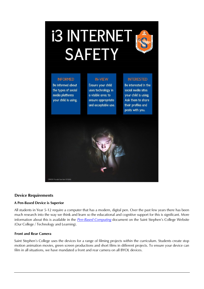# 13 INTERNET RE **SAFETY**



# **INFORMED**

Be informed about the types of social media platforms your child is using.

# **IN-VIEW**

Ensure your child uses technology in a visible area, to ensure appropriate and acceptable use.

# **INTERESTED**

Be interested in the social media sites your child is using. Ask them to share their profiles and posts with you.



# **Device Requirements**

# **A Pen-Based Device is Superior**

All students in Year 5-12 require a computer that has a modern, digital pen. Over the past few years there has been much research into the way we think and learn so the educational and cognitive support for this is significant. More information about this is available in the *[Pen-Based Computing](https://www.saintstephenscollege.net.au/wp-content/uploads/2019/10/Pen-Based-Computers-1.pdf)* document on the Saint Stephen's College Website (Our College / Technology and Learning).

# **Front and Rear Camera**

Saint Stephen's College uses the devices for a range of filming projects within the curriculum. Students create stop motion animation movies, green screen productions and short films in different projects. To ensure your device can film in all situations, we have mandated a front and rear camera on all BYOL devices.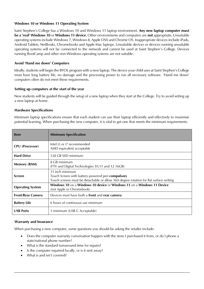# **Windows 10 or Windows 11 Operating System**

Saint Stephen's College has a Windows 10 and Windows 11 laptop environment. **Any new laptop computer must be a 'real' Windows 10** or **Windows 11 device.** Other environments and computers are **not** appropriate**.** Unsuitable operating systems include Windows 7, Windows 8, Apple OSX and Chrome OS. Inappropriate devices include iPads, Android Tablets, NetBooks, Chromebooks and Apple Mac laptops. Unsuitable devices or devices running unsuitable operating systems will not be connected to the network and cannot be used at Saint Stephen's College. Devices running BootCamp and other non-Windows operating systems are not suitable.

# **Avoid 'Hand me down' Computers**

Ideally, students will begin the BYOL program with a new laptop. The device your child uses at Saint Stephen's College must have long battery life, no damage and the processing power to run all necessary software. 'Hand me down' computers often do not meet these requirements.

# **Setting up computers at the start of the year**

New students will be guided through the setup of a new laptop when they start at the College. Try to avoid setting up a new laptop at home.

# **Hardware Specifications**

Minimum laptop specifications ensure that each student can use their laptop efficiently and effectively to maximise potential learning. When purchasing the new computer, it is vital to get one that meets the minimum requirements.

| <b>Item</b>              | <b>Minimum Specification</b>                                                                                                                                  |
|--------------------------|---------------------------------------------------------------------------------------------------------------------------------------------------------------|
| <b>CPU</b> (Processor)   | Intel i5 or i7 recommended<br>AMD equivalent acceptable                                                                                                       |
| <b>Hard Drive</b>        | 128 GB SSD minimum                                                                                                                                            |
| <b>Memory (RAM)</b>      | 8 GB minimum<br>(FTV and Digital Technologies 10,11 and 12 16GB)                                                                                              |
| <b>Screen</b>            | 11 inch minimum<br>Touch Screen with battery-powered pen compulsory<br>Touch screens must be detachable or allow 360-degree rotation for flat surface writing |
| <b>Operating System</b>  | Windows 10 on a Windows 10 device or Windows 11 on a Windows 11 Device<br>(not Apple or Chromebook)                                                           |
| <b>Front/Rear Camera</b> | Devices must have both a front and rear camera                                                                                                                |
| <b>Battery Life</b>      | 6 hours of continuous use minimum                                                                                                                             |
| <b>USB Ports</b>         | 1 minimum (USB C Acceptable)                                                                                                                                  |

# **Warranty and Insurance**

When purchasing a new computer, some questions you should be asking the retailer include:

- Does the computer warranty conversation happen with the store I purchased it from, or do I phone a state/national phone number?
- What is the standard turnaround time for repairs?
- Is the computer repaired locally, or is it sent away?
- What is and isn't covered?